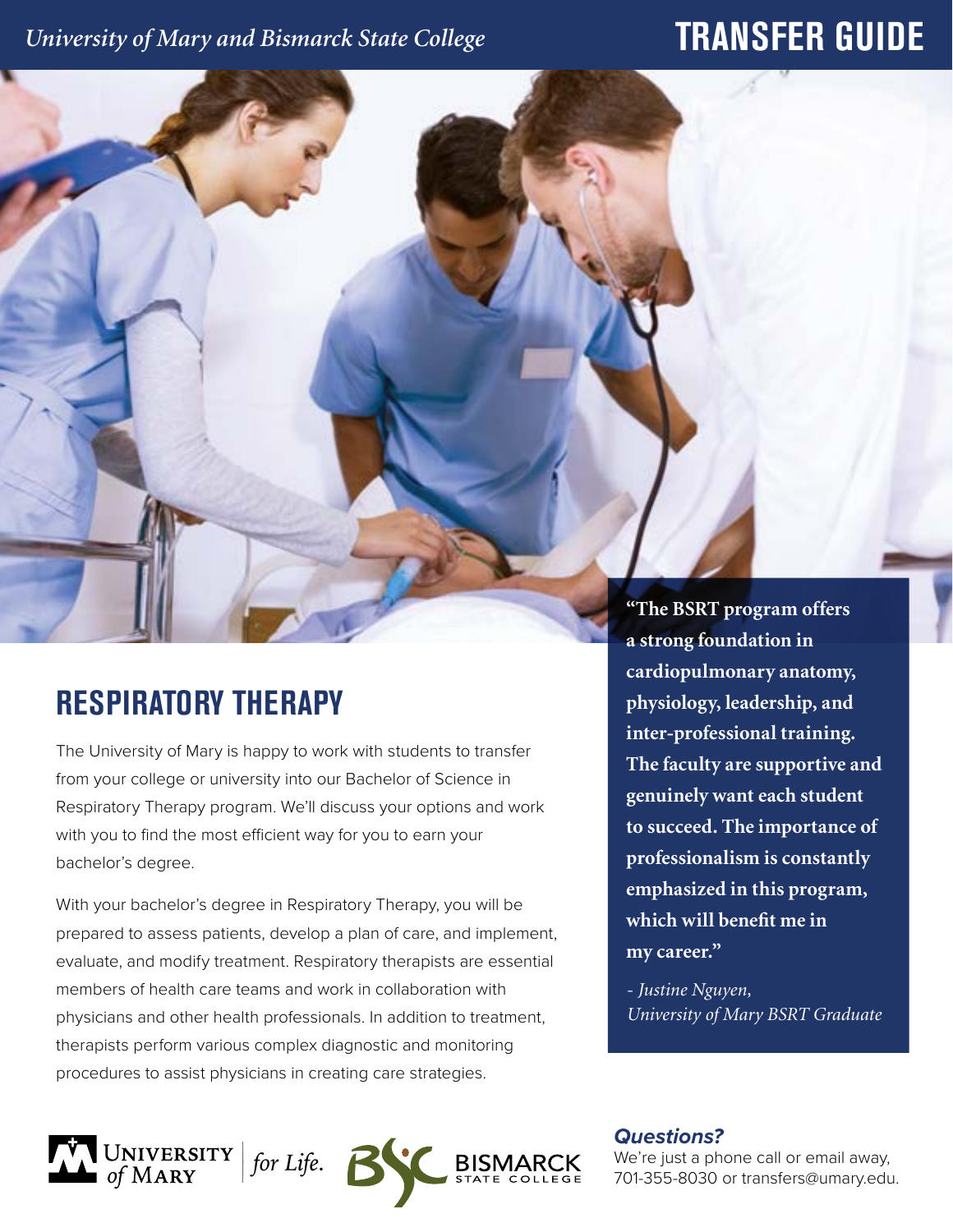# *University of Mary and Bismarck State College* **TRANSFER GUIDE**

# **RESPIRATORY THERAPY**

The University of Mary is happy to work with students to transfer from your college or university into our Bachelor of Science in Respiratory Therapy program. We'll discuss your options and work with you to find the most efficient way for you to earn your bachelor's degree.

With your bachelor's degree in Respiratory Therapy, you will be prepared to assess patients, develop a plan of care, and implement, evaluate, and modify treatment. Respiratory therapists are essential members of health care teams and work in collaboration with physicians and other health professionals. In addition to treatment, therapists perform various complex diagnostic and monitoring procedures to assist physicians in creating care strategies.

**"The BSRT program offers a strong foundation in cardiopulmonary anatomy, physiology, leadership, and inter-professional training. The faculty are supportive and genuinely want each student to succeed. The importance of professionalism is constantly emphasized in this program, which will benefit me in my career."**

*- Justine Nguyen, University of Mary BSRT Graduate*



### *Questions?*

We're just a phone call or email away, 701-355-8030 or transfers@umary.edu.